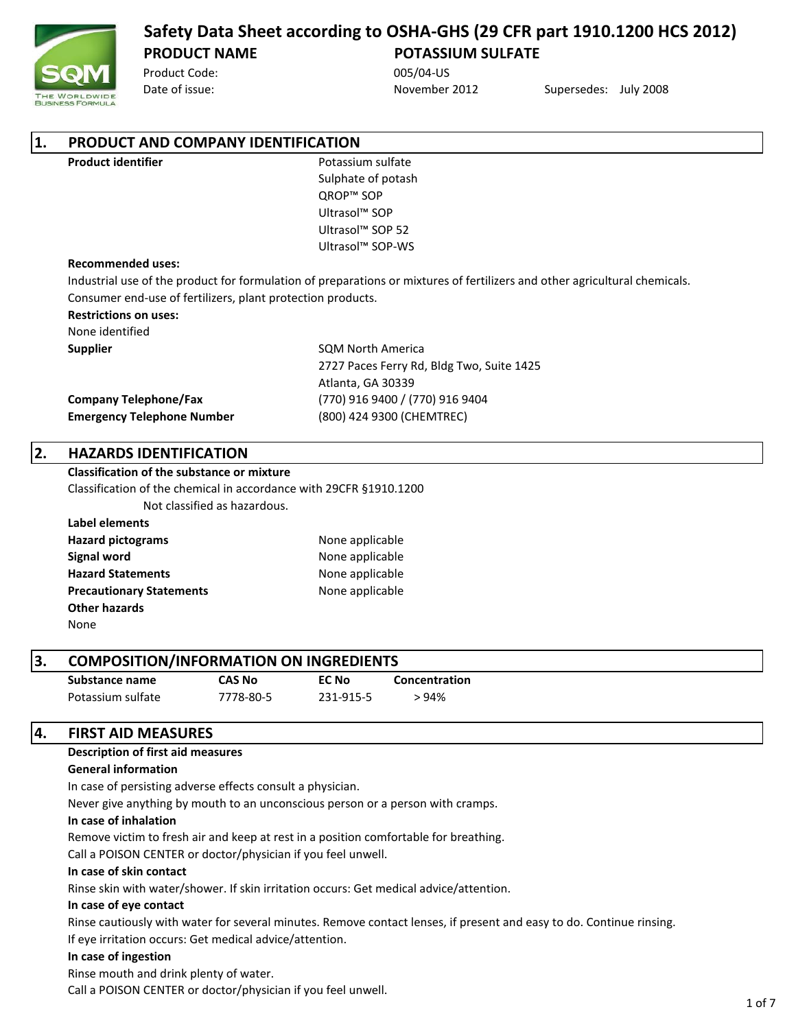

Product Code: 005/04-US

Date of issue: November 2012 Supersedes: July 2008

| 1. | PRODUCT AND COMPANY IDENTIFICATION                                                   |                                                   |                              |                                                                                                                            |  |  |  |
|----|--------------------------------------------------------------------------------------|---------------------------------------------------|------------------------------|----------------------------------------------------------------------------------------------------------------------------|--|--|--|
|    | <b>Product identifier</b>                                                            |                                                   | Potassium sulfate            |                                                                                                                            |  |  |  |
|    |                                                                                      |                                                   | Sulphate of potash           |                                                                                                                            |  |  |  |
|    |                                                                                      |                                                   | QROP™ SOP                    |                                                                                                                            |  |  |  |
|    |                                                                                      |                                                   | Ultrasol <sup>™</sup> SOP    |                                                                                                                            |  |  |  |
|    |                                                                                      |                                                   | Ultrasol <sup>™</sup> SOP 52 |                                                                                                                            |  |  |  |
|    |                                                                                      |                                                   | Ultrasol™ SOP-WS             |                                                                                                                            |  |  |  |
|    | <b>Recommended uses:</b>                                                             |                                                   |                              |                                                                                                                            |  |  |  |
|    |                                                                                      |                                                   |                              | Industrial use of the product for formulation of preparations or mixtures of fertilizers and other agricultural chemicals. |  |  |  |
|    | Consumer end-use of fertilizers, plant protection products.                          |                                                   |                              |                                                                                                                            |  |  |  |
|    | <b>Restrictions on uses:</b>                                                         |                                                   |                              |                                                                                                                            |  |  |  |
|    | None identified                                                                      |                                                   |                              |                                                                                                                            |  |  |  |
|    | <b>Supplier</b>                                                                      |                                                   | <b>SOM North America</b>     |                                                                                                                            |  |  |  |
|    |                                                                                      |                                                   |                              | 2727 Paces Ferry Rd, Bldg Two, Suite 1425                                                                                  |  |  |  |
|    |                                                                                      |                                                   | Atlanta, GA 30339            |                                                                                                                            |  |  |  |
|    | <b>Company Telephone/Fax</b>                                                         |                                                   |                              | (770) 916 9400 / (770) 916 9404                                                                                            |  |  |  |
|    | <b>Emergency Telephone Number</b>                                                    |                                                   |                              | (800) 424 9300 (CHEMTREC)                                                                                                  |  |  |  |
|    |                                                                                      |                                                   |                              |                                                                                                                            |  |  |  |
| 2. |                                                                                      | <b>HAZARDS IDENTIFICATION</b>                     |                              |                                                                                                                            |  |  |  |
|    |                                                                                      | <b>Classification of the substance or mixture</b> |                              |                                                                                                                            |  |  |  |
|    | Classification of the chemical in accordance with 29CFR §1910.1200                   |                                                   |                              |                                                                                                                            |  |  |  |
|    |                                                                                      | Not classified as hazardous.                      |                              |                                                                                                                            |  |  |  |
|    | <b>Label elements</b>                                                                |                                                   |                              |                                                                                                                            |  |  |  |
|    | <b>Hazard pictograms</b>                                                             |                                                   | None applicable              |                                                                                                                            |  |  |  |
|    | <b>Signal word</b>                                                                   |                                                   | None applicable              |                                                                                                                            |  |  |  |
|    | <b>Hazard Statements</b>                                                             |                                                   | None applicable              |                                                                                                                            |  |  |  |
|    | <b>Precautionary Statements</b>                                                      |                                                   | None applicable              |                                                                                                                            |  |  |  |
|    | <b>Other hazards</b>                                                                 |                                                   |                              |                                                                                                                            |  |  |  |
|    | None                                                                                 |                                                   |                              |                                                                                                                            |  |  |  |
| 3. | <b>COMPOSITION/INFORMATION ON INGREDIENTS</b>                                        |                                                   |                              |                                                                                                                            |  |  |  |
|    | Substance name                                                                       | <b>CAS No</b>                                     | <b>EC No</b>                 | Concentration                                                                                                              |  |  |  |
|    | Potassium sulfate                                                                    | 7778-80-5                                         | 231-915-5                    | >94%                                                                                                                       |  |  |  |
|    |                                                                                      |                                                   |                              |                                                                                                                            |  |  |  |
| 4. | <b>FIRST AID MEASURES</b>                                                            |                                                   |                              |                                                                                                                            |  |  |  |
|    | <b>Description of first aid measures</b>                                             |                                                   |                              |                                                                                                                            |  |  |  |
|    | <b>General information</b>                                                           |                                                   |                              |                                                                                                                            |  |  |  |
|    | In case of persisting adverse effects consult a physician.                           |                                                   |                              |                                                                                                                            |  |  |  |
|    | Never give anything by mouth to an unconscious person or a person with cramps.       |                                                   |                              |                                                                                                                            |  |  |  |
|    | In case of inhalation                                                                |                                                   |                              |                                                                                                                            |  |  |  |
|    | Remove victim to fresh air and keep at rest in a position comfortable for breathing. |                                                   |                              |                                                                                                                            |  |  |  |
|    | Call a DOICON CENTER and aster (abusing if you feel wough                            |                                                   |                              |                                                                                                                            |  |  |  |

Call a POISON CENTER or doctor/physician if you feel unwell.

# **In case of skin contact**

Rinse skin with water/shower. If skin irritation occurs: Get medical advice/attention.

# **In case of eye contact**

Rinse cautiously with water for several minutes. Remove contact lenses, if present and easy to do. Continue rinsing. If eye irritation occurs: Get medical advice/attention.

# **In case of ingestion**

Rinse mouth and drink plenty of water.

Call a POISON CENTER or doctor/physician if you feel unwell.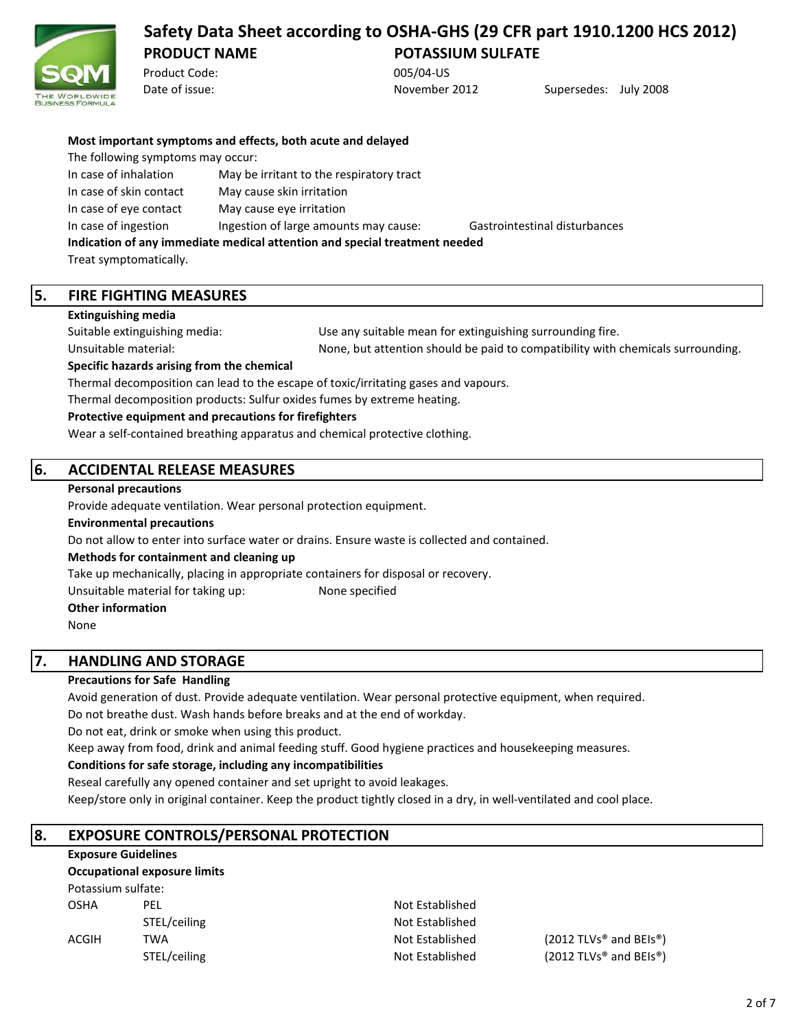

Product Code: 005/04-US

Date of issue: November 2012 Supersedes: July 2008

|  |  | Most important symptoms and effects, both acute and delayed |  |  |  |  |  |  |  |
|--|--|-------------------------------------------------------------|--|--|--|--|--|--|--|
|--|--|-------------------------------------------------------------|--|--|--|--|--|--|--|

The following symptoms may occur:

| In case of inhalation                                                      | May be irritant to the respiratory tract |                               |  |  |
|----------------------------------------------------------------------------|------------------------------------------|-------------------------------|--|--|
| In case of skin contact                                                    | May cause skin irritation                |                               |  |  |
| In case of eye contact                                                     | May cause eye irritation                 |                               |  |  |
| In case of ingestion                                                       | Ingestion of large amounts may cause:    | Gastrointestinal disturbances |  |  |
| Indication of any immediate medical attention and special treatment needed |                                          |                               |  |  |
| Treat symptomatically                                                      |                                          |                               |  |  |

Treat symptomatically.

## **5. FIRE FIGHTING MEASURES**

**Extinguishing media**

Suitable extinguishing media:

Unsuitable material: None, but attention should be paid to compatibility with chemicals surrounding. Use any suitable mean for extinguishing surrounding fire.

**Specific hazards arising from the chemical**

Thermal decomposition can lead to the escape of toxic/irritating gases and vapours.

Thermal decomposition products: Sulfur oxides fumes by extreme heating.

#### **Protective equipment and precautions for firefighters**

Wear a self-contained breathing apparatus and chemical protective clothing.

# **6. ACCIDENTAL RELEASE MEASURES**

#### **Personal precautions**

Provide adequate ventilation. Wear personal protection equipment.

#### **Environmental precautions**

Do not allow to enter into surface water or drains. Ensure waste is collected and contained.

**Methods for containment and cleaning up**

Take up mechanically, placing in appropriate containers for disposal or recovery.

Unsuitable material for taking up: None specified

#### **Other information**

None

# **7. HANDLING AND STORAGE**

### **Precautions for Safe Handling**

Avoid generation of dust. Provide adequate ventilation. Wear personal protective equipment, when required.

Do not breathe dust. Wash hands before breaks and at the end of workday.

Do not eat, drink or smoke when using this product.

Keep away from food, drink and animal feeding stuff. Good hygiene practices and housekeeping measures.

### **Conditions for safe storage, including any incompatibilities**

Reseal carefully any opened container and set upright to avoid leakages.

Keep/store only in original container. Keep the product tightly closed in a dry, in well-ventilated and cool place.

# **8. EXPOSURE CONTROLS/PERSONAL PROTECTION**

# **Exposure Guidelines**

**Occupational exposure limits**

Potassium sulfate:

OSHA PEL 2007 PEL Not Established STEL/ceiling Not Established

ACGIH TWA  $\overline{A}$  and  $\overline{B}$  and  $\overline{B}$  and  $\overline{B}$  and  $\overline{B}$  and  $\overline{B}$  and  $\overline{B}$  and  $\overline{B}$  and  $\overline{B}$  and  $\overline{B}$  and  $\overline{B}$  and  $\overline{B}$  and  $\overline{B}$  and  $\overline{B}$  and  $\overline{B}$  and  $\overline{B}$  and  $\overline$ STEL/ceiling and BEIs®) **Not Established** (2012 TLVs® and BEIs®)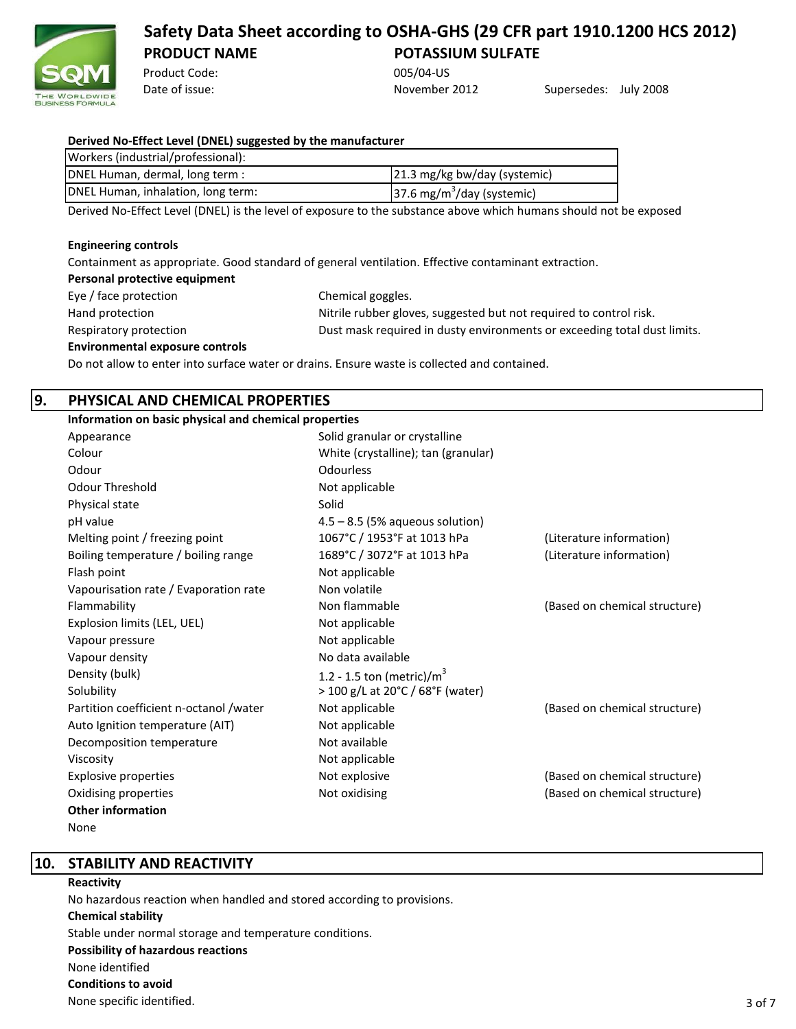

Product Code: 005/04-US

Date of issue: November 2012 Supersedes: July 2008

| Derived No-Effect Level (DNEL) suggested by the manufacturer |                                        |  |  |
|--------------------------------------------------------------|----------------------------------------|--|--|
| Workers (industrial/professional):                           |                                        |  |  |
| DNEL Human, dermal, long term :                              | 21.3 mg/kg bw/day (systemic)           |  |  |
| DNEL Human, inhalation, long term:                           | 37.6 mg/m <sup>3</sup> /day (systemic) |  |  |

Derived No-Effect Level (DNEL) is the level of exposure to the substance above which humans should not be exposed

#### **Engineering controls**

Containment as appropriate. Good standard of general ventilation. Effective contaminant extraction.

| Eye / face protection                  | Chemical goggles.                                                        |
|----------------------------------------|--------------------------------------------------------------------------|
| Hand protection                        | Nitrile rubber gloves, suggested but not required to control risk.       |
| Respiratory protection                 | Dust mask required in dusty environments or exceeding total dust limits. |
| <b>Environmental exposure controls</b> |                                                                          |

Do not allow to enter into surface water or drains. Ensure waste is collected and contained.

# **9. PHYSICAL AND CHEMICAL PROPERTIES**

| Information on basic physical and chemical properties |                                     |                               |  |  |
|-------------------------------------------------------|-------------------------------------|-------------------------------|--|--|
| Appearance                                            | Solid granular or crystalline       |                               |  |  |
| Colour                                                | White (crystalline); tan (granular) |                               |  |  |
| Odour                                                 | Odourless                           |                               |  |  |
| <b>Odour Threshold</b>                                | Not applicable                      |                               |  |  |
| Physical state                                        | Solid                               |                               |  |  |
| pH value                                              | $4.5 - 8.5$ (5% aqueous solution)   |                               |  |  |
| Melting point / freezing point                        | 1067°C / 1953°F at 1013 hPa         | (Literature information)      |  |  |
| Boiling temperature / boiling range                   | 1689°C / 3072°F at 1013 hPa         | (Literature information)      |  |  |
| Flash point                                           | Not applicable                      |                               |  |  |
| Vapourisation rate / Evaporation rate                 | Non volatile                        |                               |  |  |
| Flammability                                          | Non flammable                       | (Based on chemical structure) |  |  |
| Explosion limits (LEL, UEL)                           | Not applicable                      |                               |  |  |
| Vapour pressure                                       | Not applicable                      |                               |  |  |
| Vapour density                                        | No data available                   |                               |  |  |
| Density (bulk)                                        | 1.2 - 1.5 ton (metric)/ $m^3$       |                               |  |  |
| Solubility                                            | > 100 g/L at 20°C / 68°F (water)    |                               |  |  |
| Partition coefficient n-octanol /water                | Not applicable                      | (Based on chemical structure) |  |  |
| Auto Ignition temperature (AIT)                       | Not applicable                      |                               |  |  |
| Decomposition temperature                             | Not available                       |                               |  |  |
| Viscosity                                             | Not applicable                      |                               |  |  |
| <b>Explosive properties</b>                           | Not explosive                       | (Based on chemical structure) |  |  |
| Oxidising properties                                  | Not oxidising                       | (Based on chemical structure) |  |  |
| <b>Other information</b>                              |                                     |                               |  |  |
|                                                       |                                     |                               |  |  |

None

**10. STABILITY AND REACTIVITY**

#### **Reactivity**

No hazardous reaction when handled and stored according to provisions.

#### **Chemical stability**

Stable under normal storage and temperature conditions. **Possibility of hazardous reactions** None identified **Conditions to avoid** None specific identified.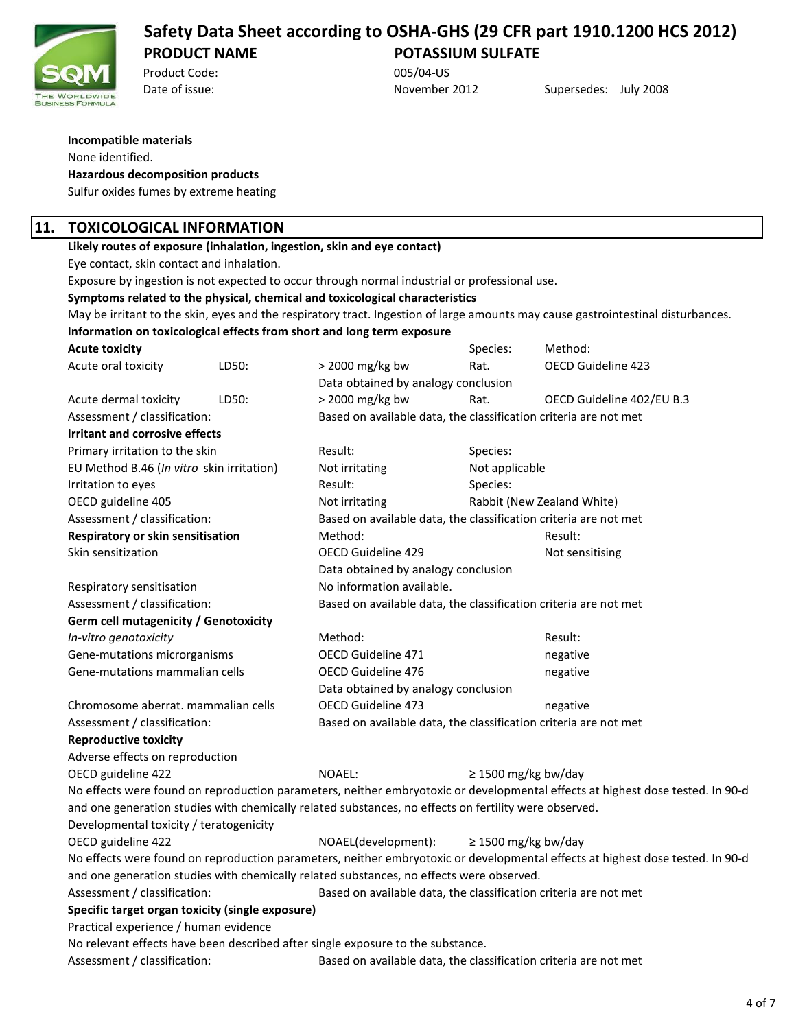

Product Code: 005/04-US

Date of issue: November 2012 Supersedes: July 2008

#### **Incompatible materials** None identified.

### **Hazardous decomposition products**

Sulfur oxides fumes by extreme heating

# **11. TOXICOLOGICAL INFORMATION**

**Likely routes of exposure (inhalation, ingestion, skin and eye contact)**

Eye contact, skin contact and inhalation.

Exposure by ingestion is not expected to occur through normal industrial or professional use.

#### **Symptoms related to the physical, chemical and toxicological characteristics**

May be irritant to the skin, eyes and the respiratory tract. Ingestion of large amounts may cause gastrointestinal disturbances. **Information on toxicological effects from short and long term exposure**

| <b>Acute toxicity</b>                            |       |                                                                                                       | Species:                 | Method:                                                                                                                        |  |
|--------------------------------------------------|-------|-------------------------------------------------------------------------------------------------------|--------------------------|--------------------------------------------------------------------------------------------------------------------------------|--|
| Acute oral toxicity                              | LD50: | > 2000 mg/kg bw                                                                                       | Rat.                     | OECD Guideline 423                                                                                                             |  |
|                                                  |       | Data obtained by analogy conclusion                                                                   |                          |                                                                                                                                |  |
| Acute dermal toxicity                            | LD50: | > 2000 mg/kg bw                                                                                       | Rat.                     | OECD Guideline 402/EU B.3                                                                                                      |  |
| Assessment / classification:                     |       | Based on available data, the classification criteria are not met                                      |                          |                                                                                                                                |  |
| <b>Irritant and corrosive effects</b>            |       |                                                                                                       |                          |                                                                                                                                |  |
| Primary irritation to the skin                   |       | Result:                                                                                               | Species:                 |                                                                                                                                |  |
| EU Method B.46 (In vitro skin irritation)        |       | Not irritating                                                                                        | Not applicable           |                                                                                                                                |  |
| Irritation to eyes                               |       | Result:                                                                                               | Species:                 |                                                                                                                                |  |
| OECD guideline 405                               |       | Not irritating                                                                                        |                          | Rabbit (New Zealand White)                                                                                                     |  |
| Assessment / classification:                     |       | Based on available data, the classification criteria are not met                                      |                          |                                                                                                                                |  |
| Respiratory or skin sensitisation                |       | Method:                                                                                               |                          | Result:                                                                                                                        |  |
| Skin sensitization                               |       | OECD Guideline 429                                                                                    |                          | Not sensitising                                                                                                                |  |
|                                                  |       | Data obtained by analogy conclusion                                                                   |                          |                                                                                                                                |  |
| Respiratory sensitisation                        |       | No information available.                                                                             |                          |                                                                                                                                |  |
| Assessment / classification:                     |       | Based on available data, the classification criteria are not met                                      |                          |                                                                                                                                |  |
| Germ cell mutagenicity / Genotoxicity            |       |                                                                                                       |                          |                                                                                                                                |  |
| In-vitro genotoxicity                            |       | Method:                                                                                               |                          | Result:                                                                                                                        |  |
| Gene-mutations microrganisms                     |       | OECD Guideline 471                                                                                    |                          | negative                                                                                                                       |  |
| Gene-mutations mammalian cells                   |       | OECD Guideline 476                                                                                    |                          | negative                                                                                                                       |  |
|                                                  |       | Data obtained by analogy conclusion                                                                   |                          |                                                                                                                                |  |
| Chromosome aberrat. mammalian cells              |       | <b>OECD Guideline 473</b>                                                                             |                          | negative                                                                                                                       |  |
| Assessment / classification:                     |       | Based on available data, the classification criteria are not met                                      |                          |                                                                                                                                |  |
| <b>Reproductive toxicity</b>                     |       |                                                                                                       |                          |                                                                                                                                |  |
| Adverse effects on reproduction                  |       |                                                                                                       |                          |                                                                                                                                |  |
| OECD guideline 422                               |       | NOAEL:                                                                                                | $\geq$ 1500 mg/kg bw/day |                                                                                                                                |  |
|                                                  |       |                                                                                                       |                          | No effects were found on reproduction parameters, neither embryotoxic or developmental effects at highest dose tested. In 90-d |  |
|                                                  |       | and one generation studies with chemically related substances, no effects on fertility were observed. |                          |                                                                                                                                |  |
| Developmental toxicity / teratogenicity          |       |                                                                                                       |                          |                                                                                                                                |  |
| OECD guideline 422                               |       | NOAEL(development):                                                                                   | $\geq$ 1500 mg/kg bw/day |                                                                                                                                |  |
|                                                  |       |                                                                                                       |                          | No effects were found on reproduction parameters, neither embryotoxic or developmental effects at highest dose tested. In 90-d |  |
|                                                  |       | and one generation studies with chemically related substances, no effects were observed.              |                          |                                                                                                                                |  |
| Assessment / classification:                     |       | Based on available data, the classification criteria are not met                                      |                          |                                                                                                                                |  |
| Specific target organ toxicity (single exposure) |       |                                                                                                       |                          |                                                                                                                                |  |
| Practical experience / human evidence            |       |                                                                                                       |                          |                                                                                                                                |  |
|                                                  |       | No relevant effects have been described after single exposure to the substance.                       |                          |                                                                                                                                |  |
| Assessment / classification:                     |       | Based on available data, the classification criteria are not met                                      |                          |                                                                                                                                |  |
|                                                  |       |                                                                                                       |                          |                                                                                                                                |  |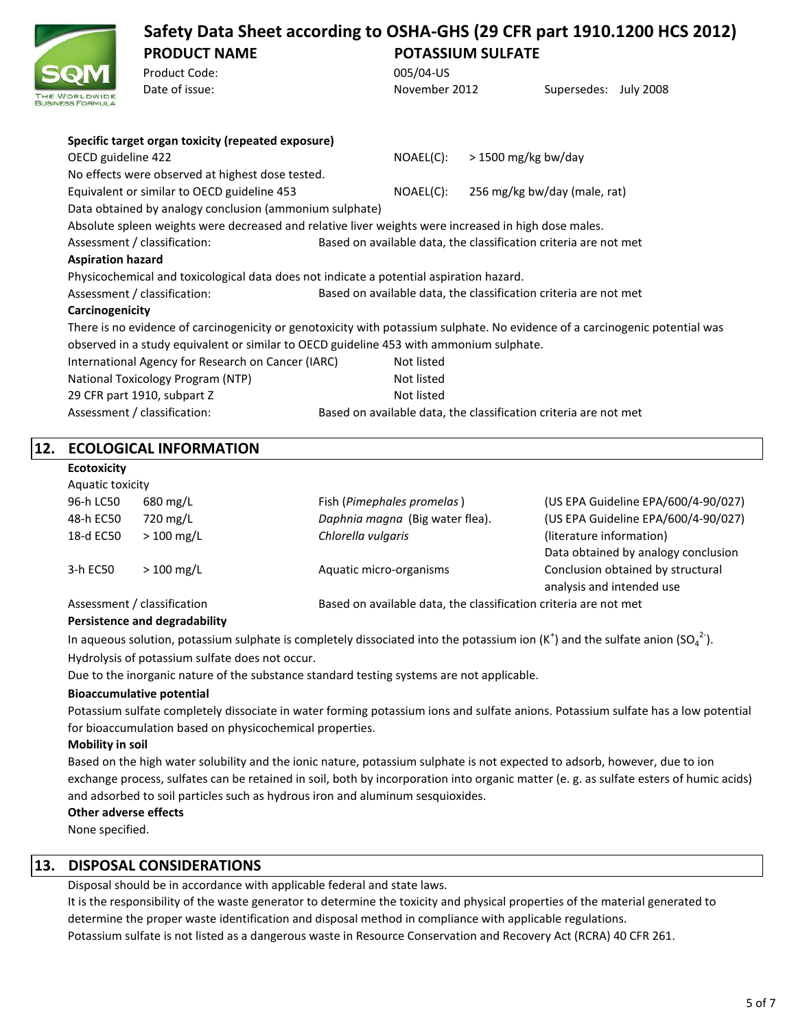# **Safety Data Sheet according to OSHA-GHS (29 CFR part 1910.1200 HCS 2012) PRODUCT NAME POTASSIUM SULFATE** Product Code: 005/04-US

| <b>CAMI</b>              |                                                                                                                              |               |                                                                  |  |
|--------------------------|------------------------------------------------------------------------------------------------------------------------------|---------------|------------------------------------------------------------------|--|
| VORLDWIDE                | Date of issue:                                                                                                               | November 2012 | Supersedes: July 2008                                            |  |
|                          | Specific target organ toxicity (repeated exposure)                                                                           |               |                                                                  |  |
| OECD guideline 422       |                                                                                                                              | NOAEL(C):     | > 1500 mg/kg bw/day                                              |  |
|                          | No effects were observed at highest dose tested.                                                                             |               |                                                                  |  |
|                          | Equivalent or similar to OECD guideline 453                                                                                  | NOAEL(C):     | 256 mg/kg bw/day (male, rat)                                     |  |
|                          | Data obtained by analogy conclusion (ammonium sulphate)                                                                      |               |                                                                  |  |
|                          | Absolute spleen weights were decreased and relative liver weights were increased in high dose males.                         |               |                                                                  |  |
|                          | Assessment / classification:                                                                                                 |               | Based on available data, the classification criteria are not met |  |
| <b>Aspiration hazard</b> |                                                                                                                              |               |                                                                  |  |
|                          | Physicochemical and toxicological data does not indicate a potential aspiration hazard.                                      |               |                                                                  |  |
|                          | Assessment / classification:                                                                                                 |               | Based on available data, the classification criteria are not met |  |
| Carcinogenicity          |                                                                                                                              |               |                                                                  |  |
|                          | There is no evidence of carcinogenicity or genotoxicity with potassium sulphate. No evidence of a carcinogenic potential was |               |                                                                  |  |
|                          | observed in a study equivalent or similar to OECD guideline 453 with ammonium sulphate.                                      |               |                                                                  |  |
|                          | International Agency for Research on Cancer (IARC)                                                                           | Not listed    |                                                                  |  |
|                          | National Toxicology Program (NTP)                                                                                            | Not listed    |                                                                  |  |
|                          | 29 CFR part 1910, subpart Z                                                                                                  | Not listed    |                                                                  |  |
|                          | Assessment / classification:                                                                                                 |               | Based on available data, the classification criteria are not met |  |
|                          |                                                                                                                              |               |                                                                  |  |

# **12. ECOLOGICAL INFORMATION**

**Ecotoxicity**

| Aquatic toxicity            |                    |                                                                  |                                     |  |
|-----------------------------|--------------------|------------------------------------------------------------------|-------------------------------------|--|
| 96-h LC50                   | $680 \text{ mg/L}$ | Fish (Pimephales promelas)                                       | (US EPA Guideline EPA/600/4-90/027) |  |
| 48-h EC50                   | 720 mg/L           | Daphnia magna (Big water flea).                                  | (US EPA Guideline EPA/600/4-90/027) |  |
| 18-d EC50                   | $>100$ mg/L        | Chlorella vulgaris                                               | (literature information)            |  |
|                             |                    |                                                                  | Data obtained by analogy conclusion |  |
| 3-h EC50                    | $>100$ mg/L        | Aquatic micro-organisms                                          | Conclusion obtained by structural   |  |
|                             |                    |                                                                  | analysis and intended use           |  |
| Assessment / classification |                    | Based on available data, the classification criteria are not met |                                     |  |

### **Persistence and degradability**

In aqueous solution, potassium sulphate is completely dissociated into the potassium ion (K<sup>+</sup>) and the sulfate anion (SO<sub>4</sub><sup>2-</sup>). Hydrolysis of potassium sulfate does not occur.

Due to the inorganic nature of the substance standard testing systems are not applicable.

#### **Bioaccumulative potential**

Potassium sulfate completely dissociate in water forming potassium ions and sulfate anions. Potassium sulfate has a low potential for bioaccumulation based on physicochemical properties.

#### **Mobility in soil**

Based on the high water solubility and the ionic nature, potassium sulphate is not expected to adsorb, however, due to ion exchange process, sulfates can be retained in soil, both by incorporation into organic matter (e. g. as sulfate esters of humic acids) and adsorbed to soil particles such as hydrous iron and aluminum sesquioxides.

#### **Other adverse effects**

None specified.

# **13. DISPOSAL CONSIDERATIONS**

Disposal should be in accordance with applicable federal and state laws.

Potassium sulfate is not listed as a dangerous waste in Resource Conservation and Recovery Act (RCRA) 40 CFR 261. It is the responsibility of the waste generator to determine the toxicity and physical properties of the material generated to determine the proper waste identification and disposal method in compliance with applicable regulations.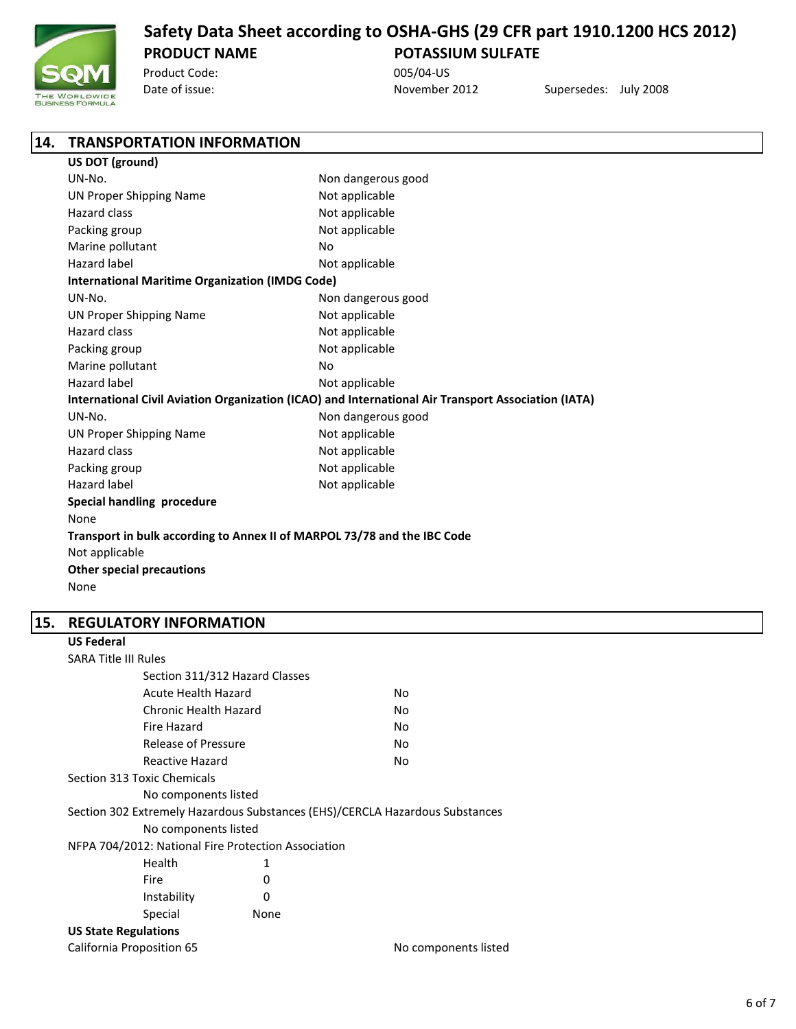

Product Code: 005/04-US

**14. TRANSPORTATION INFORMATION**

Date of issue: November 2012 Supersedes: July 2008

| US DOT (ground)                                                          |                                                                                                     |
|--------------------------------------------------------------------------|-----------------------------------------------------------------------------------------------------|
| UN-No.                                                                   | Non dangerous good                                                                                  |
| <b>UN Proper Shipping Name</b>                                           | Not applicable                                                                                      |
| Hazard class                                                             | Not applicable                                                                                      |
| Packing group                                                            | Not applicable                                                                                      |
| Marine pollutant                                                         | No                                                                                                  |
| Hazard label                                                             | Not applicable                                                                                      |
| <b>International Maritime Organization (IMDG Code)</b>                   |                                                                                                     |
| UN-No.                                                                   | Non dangerous good                                                                                  |
| <b>UN Proper Shipping Name</b>                                           | Not applicable                                                                                      |
| <b>Hazard class</b>                                                      | Not applicable                                                                                      |
| Packing group                                                            | Not applicable                                                                                      |
| Marine pollutant                                                         | No                                                                                                  |
| Hazard label                                                             | Not applicable                                                                                      |
|                                                                          | International Civil Aviation Organization (ICAO) and International Air Transport Association (IATA) |
| UN-No.                                                                   | Non dangerous good                                                                                  |
| <b>UN Proper Shipping Name</b>                                           | Not applicable                                                                                      |
| <b>Hazard class</b>                                                      | Not applicable                                                                                      |
| Packing group                                                            | Not applicable                                                                                      |
| <b>Hazard label</b>                                                      | Not applicable                                                                                      |
| Special handling procedure                                               |                                                                                                     |
| None                                                                     |                                                                                                     |
| Transport in bulk according to Annex II of MARPOL 73/78 and the IBC Code |                                                                                                     |
| Not applicable                                                           |                                                                                                     |
| <b>Other special precautions</b>                                         |                                                                                                     |
| None                                                                     |                                                                                                     |

### **15. REGULATORY INFORMATION**

## **US Federal** SARA Title III Rules Section 311/312 Hazard Classes Acute Health Hazard No Chronic Health Hazard No Fire Hazard No Release of Pressure No Reactive Hazard No Section 313 Toxic Chemicals No components listed Section 302 Extremely Hazardous Substances (EHS)/CERCLA Hazardous Substances No components listed NFPA 704/2012: National Fire Protection Association Health 1 Fire 0 Instability 0 Special None **US State Regulations** California Proposition 65 No components listed